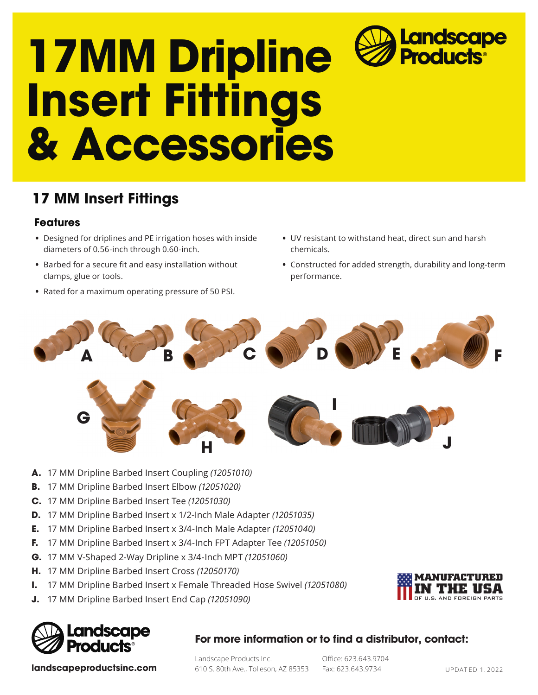# **17MM Dripline Insert Fittings & Accessories** Landscape<br>Products<sup>®</sup>

## **17 MM Insert Fittings**

### **Features**

- **•** Designed for driplines and PE irrigation hoses with inside diameters of 0.56-inch through 0.60-inch.
- **•** Barbed for a secure fit and easy installation without clamps, glue or tools.
- **•** Rated for a maximum operating pressure of 50 PSI.
- **•** UV resistant to withstand heat, direct sun and harsh chemicals.
- **•** Constructed for added strength, durability and long-term performance.



- **A.** 17 MM Dripline Barbed Insert Coupling *(12051010)*
- **B.** 17 MM Dripline Barbed Insert Elbow *(12051020)*
- **C.** 17 MM Dripline Barbed Insert Tee *(12051030)*
- **D.** 17 MM Dripline Barbed Insert x 1/2-Inch Male Adapter *(12051035)*
- **E.** 17 MM Dripline Barbed Insert x 3/4-Inch Male Adapter *(12051040)*
- **F.** 17 MM Dripline Barbed Insert x 3/4-Inch FPT Adapter Tee *(12051050)*
- **G.** 17 MM V-Shaped 2-Way Dripline x 3/4-Inch MPT *(12051060)*
- **H.** 17 MM Dripline Barbed Insert Cross *(12050170)*
- **I.** 17 MM Dripline Barbed Insert x Female Threaded Hose Swivel *(12051080)*
- **J.** 17 MM Dripline Barbed Insert End Cap *(12051090)*



### **For more information or to find a distributor, contact:**

Landscape Products Inc. 610 S. 80th Ave., Tolleson, AZ 85353 Office: 623.643.9704 Fax: 623.643.9734

**landscapeproductsinc.com** 610 S. 80th Ave., Tolleson, AZ 85353 Fax: 623.643.9734 UPDATED 1.2022